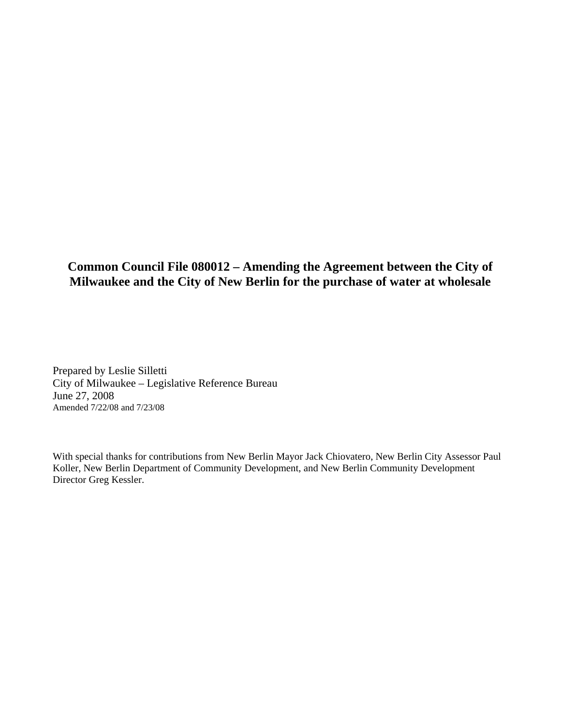#### **Common Council File 080012 – Amending the Agreement between the City of Milwaukee and the City of New Berlin for the purchase of water at wholesale**

Prepared by Leslie Silletti City of Milwaukee – Legislative Reference Bureau June 27, 2008 Amended 7/22/08 and 7/23/08

With special thanks for contributions from New Berlin Mayor Jack Chiovatero, New Berlin City Assessor Paul Koller, New Berlin Department of Community Development, and New Berlin Community Development Director Greg Kessler.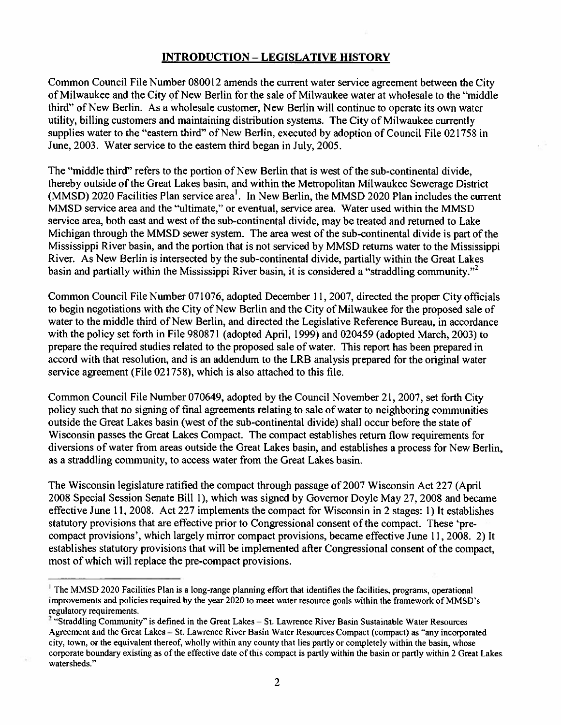#### **INTRODUCTION - LEGISLATIVE HISTORY**

Common Council File Number 080012 amends the current water service agreement between the City of Milwaukee and the City of New Berlin for the sale of Milwaukee water at wholesale to the "middle" third" of New Berlin. As a wholesale customer, New Berlin will continue to operate its own water utility, billing customers and maintaining distribution systems. The City of Milwaukee currently supplies water to the "eastern third" of New Berlin, executed by adoption of Council File 021758 in June, 2003. Water service to the eastern third began in July, 2005.

The "middle third" refers to the portion of New Berlin that is west of the sub-continental divide, thereby outside of the Great Lakes basin, and within the Metropolitan Milwaukee Sewerage District (MMSD) 2020 Facilities Plan service area<sup>1</sup>. In New Berlin, the MMSD 2020 Plan includes the current MMSD service area and the "ultimate," or eventual, service area. Water used within the MMSD service area, both east and west of the sub-continental divide, may be treated and returned to Lake Michigan through the MMSD sewer system. The area west of the sub-continental divide is part of the Mississippi River basin, and the portion that is not serviced by MMSD returns water to the Mississippi River. As New Berlin is intersected by the sub-continental divide, partially within the Great Lakes basin and partially within the Mississippi River basin, it is considered a "straddling community."<sup>2</sup>

Common Council File Number 071076, adopted December 11, 2007, directed the proper City officials to begin negotiations with the City of New Berlin and the City of Milwaukee for the proposed sale of water to the middle third of New Berlin, and directed the Legislative Reference Bureau, in accordance with the policy set forth in File 980871 (adopted April, 1999) and 020459 (adopted March, 2003) to prepare the required studies related to the proposed sale of water. This report has been prepared in accord with that resolution, and is an addendum to the LRB analysis prepared for the original water service agreement (File 021758), which is also attached to this file.

Common Council File Number 070649, adopted by the Council November 21, 2007, set forth City policy such that no signing of final agreements relating to sale of water to neighboring communities outside the Great Lakes basin (west of the sub-continental divide) shall occur before the state of Wisconsin passes the Great Lakes Compact. The compact establishes return flow requirements for diversions of water from areas outside the Great Lakes basin, and establishes a process for New Berlin, as a straddling community, to access water from the Great Lakes basin.

The Wisconsin legislature ratified the compact through passage of 2007 Wisconsin Act 227 (April 2008 Special Session Senate Bill 1), which was signed by Governor Doyle May 27, 2008 and became effective June 11, 2008. Act 227 implements the compact for Wisconsin in 2 stages: 1) It establishes statutory provisions that are effective prior to Congressional consent of the compact. These 'precompact provisions', which largely mirror compact provisions, became effective June 11, 2008. 2) It establishes statutory provisions that will be implemented after Congressional consent of the compact, most of which will replace the pre-compact provisions.

 $<sup>1</sup>$  The MMSD 2020 Facilities Plan is a long-range planning effort that identifies the facilities, programs, operational</sup> improvements and policies required by the year 2020 to meet water resource goals within the framework of MMSD's regulatory requirements.

<sup>&</sup>lt;sup>2</sup> "Straddling Community" is defined in the Great Lakes – St. Lawrence River Basin Sustainable Water Resources Agreement and the Great Lakes - St. Lawrence River Basin Water Resources Compact (compact) as "any incorporated city, town, or the equivalent thereof, wholly within any county that lies partly or completely within the basin, whose corporate boundary existing as of the effective date of this compact is partly within the basin or partly within 2 Great Lakes watersheds."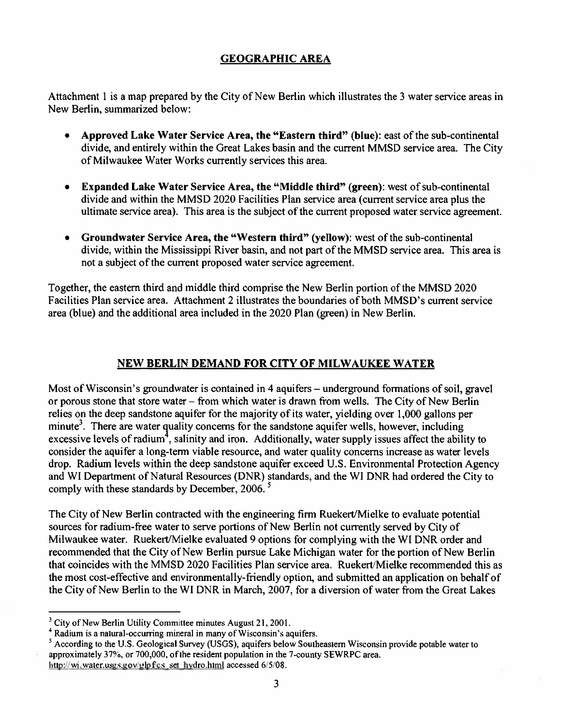#### **GEOGRAPHIC AREA**

Attachment 1 is a map prepared by the City of New Berlin which illustrates the 3 water service areas in New Berlin, summarized below:

- Approved Lake Water Service Area, the "Eastern third" (blue): east of the sub-continental  $\bullet$ divide, and entirely within the Great Lakes basin and the current MMSD service area. The City of Milwaukee Water Works currently services this area.
- **Expanded Lake Water Service Area, the "Middle third" (green):** west of sub-continental  $\bullet$ divide and within the MMSD 2020 Facilities Plan service area (current service area plus the ultimate service area). This area is the subject of the current proposed water service agreement.
- Groundwater Service Area, the "Western third" (yellow): west of the sub-continental  $\bullet$ divide, within the Mississippi River basin, and not part of the MMSD service area. This area is not a subject of the current proposed water service agreement.

Together, the eastern third and middle third comprise the New Berlin portion of the MMSD 2020 Facilities Plan service area. Attachment 2 illustrates the boundaries of both MMSD's current service area (blue) and the additional area included in the 2020 Plan (green) in New Berlin.

#### NEW BERLIN DEMAND FOR CITY OF MILWAUKEE WATER

Most of Wisconsin's groundwater is contained in 4 aquifers – underground formations of soil, gravel or porous stone that store water – from which water is drawn from wells. The City of New Berlin relies on the deep sandstone aquifer for the majority of its water, yielding over 1,000 gallons per minute<sup>3</sup>. There are water quality concerns for the sandstone aquifer wells, however, including excessive levels of radium<sup>4</sup>, salinity and iron. Additionally, water supply issues affect the ability to consider the aquifer a long-term viable resource, and water quality concerns increase as water levels drop. Radium levels within the deep sandstone aquifer exceed U.S. Environmental Protection Agency and WI Department of Natural Resources (DNR) standards, and the WI DNR had ordered the City to comply with these standards by December, 2006.<sup>5</sup>

The City of New Berlin contracted with the engineering firm Ruekert/Mielke to evaluate potential sources for radium-free water to serve portions of New Berlin not currently served by City of Milwaukee water. Ruekert/Mielke evaluated 9 options for complying with the WI DNR order and recommended that the City of New Berlin pursue Lake Michigan water for the portion of New Berlin that coincides with the MMSD 2020 Facilities Plan service area. Ruekert/Mielke recommended this as the most cost-effective and environmentally-friendly option, and submitted an application on behalf of the City of New Berlin to the WI DNR in March, 2007, for a diversion of water from the Great Lakes

 $3$  City of New Berlin Utility Committee minutes August 21, 2001.

<sup>&</sup>lt;sup>4</sup> Radium is a natural-occurring mineral in many of Wisconsin's aquifers.

 $<sup>5</sup>$  According to the U.S. Geological Survey (USGS), aquifers below Southeastern Wisconsin provide potable water to</sup> approximately 37%, or 700,000, of the resident population in the 7-county SEWRPC area.

http://wi.water.usgs.gov/glpf/cs\_set\_hydro.html accessed 6/5/08.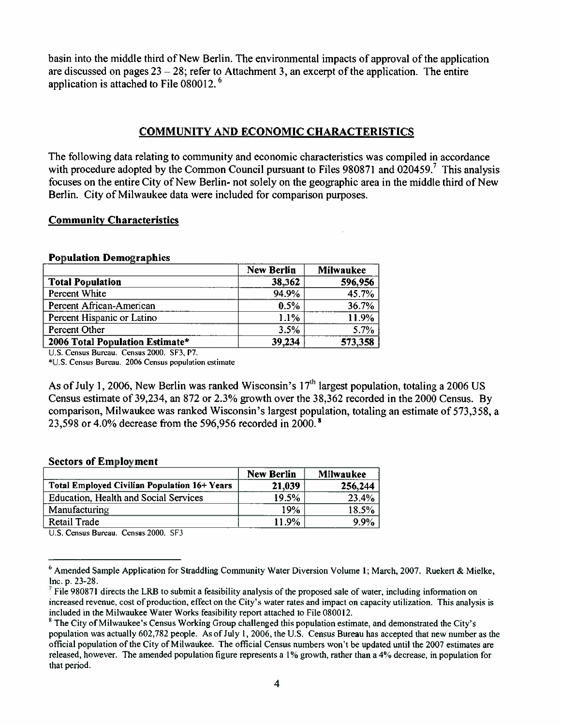basin into the middle third of New Berlin. The environmental impacts of approval of the application are discussed on pages  $23 - 28$ ; refer to Attachment 3, an excerpt of the application. The entire application is attached to File 080012.<sup>6</sup>

#### **COMMUNITY AND ECONOMIC CHARACTERISTICS**

The following data relating to community and economic characteristics was compiled in accordance with procedure adopted by the Common Council pursuant to Files 980871 and 020459.<sup>7</sup> This analysis focuses on the entire City of New Berlin- not solely on the geographic area in the middle third of New Berlin. City of Milwaukee data were included for comparison purposes.

#### **Community Characteristics**

#### **Population Demographics**

|                                 | <b>New Berlin</b> | <b>Milwaukee</b> |
|---------------------------------|-------------------|------------------|
| <b>Total Population</b>         | 38,362            | 596,956          |
| Percent White                   | 94.9%             | 45.7%            |
| Percent African-American        | 0.5%              | 36.7%            |
| Percent Hispanic or Latino      | 1.1%              | 11.9%            |
| Percent Other                   | 3.5%              | 5.7%             |
| 2006 Total Population Estimate* | 39,234            | 573,358          |

U.S. Census Bureau. Census 2000. SF3, P7.

\*U.S. Census Bureau. 2006 Census population estimate

As of July 1, 2006, New Berlin was ranked Wisconsin's  $17<sup>th</sup>$  largest population, totaling a 2006 US Census estimate of 39,234, an 872 or 2.3% growth over the 38,362 recorded in the 2000 Census. By comparison, Milwaukee was ranked Wisconsin's largest population, totaling an estimate of 573,358, a 23,598 or 4.0% decrease from the 596,956 recorded in 2000.<sup>8</sup>

#### **Sectors of Employment**

|                                              | <b>New Berlin</b> | Milwaukee |
|----------------------------------------------|-------------------|-----------|
| Total Employed Civilian Population 16+ Years | 21,039            | 256,244   |
| Education, Health and Social Services        | 19.5%             | 23.4%     |
| Manufacturing                                | 19%               | 18.5%     |
| <b>Retail Trade</b>                          | 11.9%             | 9.9%      |

U.S. Census Bureau. Census 2000. SF3

 $6$  Amended Sample Application for Straddling Community Water Diversion Volume 1; March, 2007. Ruekert & Mielke, Inc. p. 23-28.

File 980871 directs the LRB to submit a feasibility analysis of the proposed sale of water, including information on increased revenue, cost of production, effect on the City's water rates and impact on capacity utilization. This analysis is included in the Milwaukee Water Works feasibility report attached to File 080012.

 $8$  The City of Milwaukee's Census Working Group challenged this population estimate, and demonstrated the City's population was actually 602,782 people. As of July 1, 2006, the U.S. Census Bureau has accepted that new number as the official population of the City of Milwaukee. The official Census numbers won't be updated until the 2007 estimates are released, however. The amended population figure represents a 1% growth, rather than a 4% decrease, in population for that period.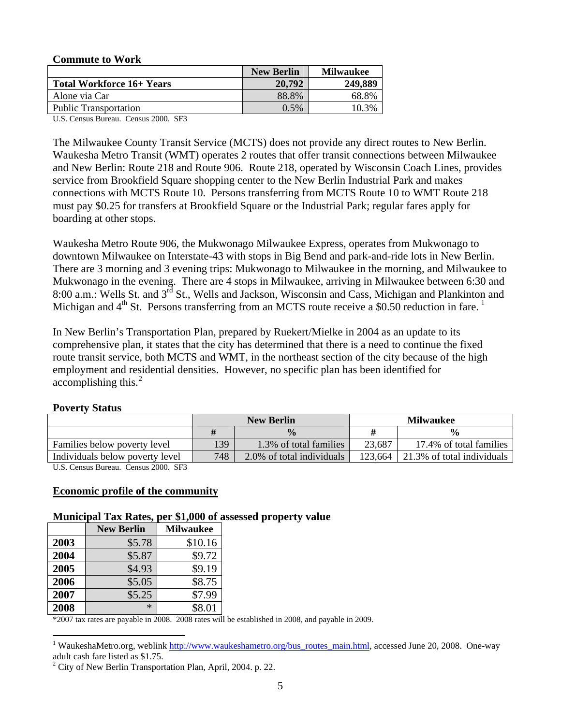| <b>Commute to Work</b>       |                   |                  |
|------------------------------|-------------------|------------------|
|                              | <b>New Berlin</b> | <b>Milwaukee</b> |
| Total Workforce 16+ Years    | 20,792            | 249,889          |
| Alone via Car                | 88.8%             | 68.8%            |
| <b>Public Transportation</b> | $0.5\%$           | 10.3%            |

U.S. Census Bureau. Census 2000. SF3

The Milwaukee County Transit Service (MCTS) does not provide any direct routes to New Berlin. Waukesha Metro Transit (WMT) operates 2 routes that offer transit connections between Milwaukee and New Berlin: Route 218 and Route 906. Route 218, operated by Wisconsin Coach Lines, provides service from Brookfield Square shopping center to the New Berlin Industrial Park and makes connections with MCTS Route 10. Persons transferring from MCTS Route 10 to WMT Route 218 must pay \$0.25 for transfers at Brookfield Square or the Industrial Park; regular fares apply for boarding at other stops.

Waukesha Metro Route 906, the Mukwonago Milwaukee Express, operates from Mukwonago to downtown Milwaukee on Interstate-43 with stops in Big Bend and park-and-ride lots in New Berlin. There are 3 morning and 3 evening trips: Mukwonago to Milwaukee in the morning, and Milwaukee to Mukwonago in the evening. There are 4 stops in Milwaukee, arriving in Milwaukee between 6:30 and 8:00 a.m.: Wells St. and 3<sup>rd</sup> St., Wells and Jackson, Wisconsin and Cass, Michigan and Plankinton and Michigan and  $4<sup>th</sup>$  St. Persons transferring from an MCTS route receive a \$0.50 reduction in fare.<sup>1</sup>

In New Berlin's Transportation Plan, prepared by Ruekert/Mielke in 2004 as an update to its comprehensive plan, it states that the city has determined that there is a need to continue the fixed route transit service, both MCTS and WMT, in the northeast section of the city because of the high employment and residential densities. However, no specific plan has been identified for accomplishing this. $^{2}$ 

#### **Poverty Status**

 $\overline{a}$ 

|                                                                    | <b>New Berlin</b> |                           | <b>Milwaukee</b> |                            |
|--------------------------------------------------------------------|-------------------|---------------------------|------------------|----------------------------|
|                                                                    |                   | $\frac{0}{0}$             |                  | $\frac{0}{0}$              |
| Families below poverty level                                       | 139               | 1.3% of total families    | 23.687           | 17.4% of total families    |
| Individuals below poverty level                                    | 748               | 2.0% of total individuals | 123.664          | 21.3% of total individuals |
| $\cdots$<br>$\sim$ $\sim$ $\sim$ $\sim$ $\sim$<br>$\sim$<br>$\sim$ |                   |                           |                  |                            |

U.S. Census Bureau. Census 2000. SF3

#### **Economic profile of the community**

#### **Municipal Tax Rates, per \$1,000 of assessed property value**

|      | <b>New Berlin</b> | <b>Milwaukee</b> |
|------|-------------------|------------------|
| 2003 | \$5.78            | \$10.16          |
| 2004 | \$5.87            | \$9.72           |
| 2005 | \$4.93            | \$9.19           |
| 2006 | \$5.05            | \$8.75           |
| 2007 | \$5.25            | \$7.99           |
| 2008 | ∗                 | \$8.01           |

\*2007 tax rates are payable in 2008. 2008 rates will be established in 2008, and payable in 2009.

<sup>&</sup>lt;sup>1</sup> WaukeshaMetro.org, weblink http://www.waukeshametro.org/bus\_routes\_main.html, accessed June 20, 2008. One-way adult cash fare listed as \$1.75.

 $2^2$  City of New Berlin Transportation Plan, April, 2004. p. 22.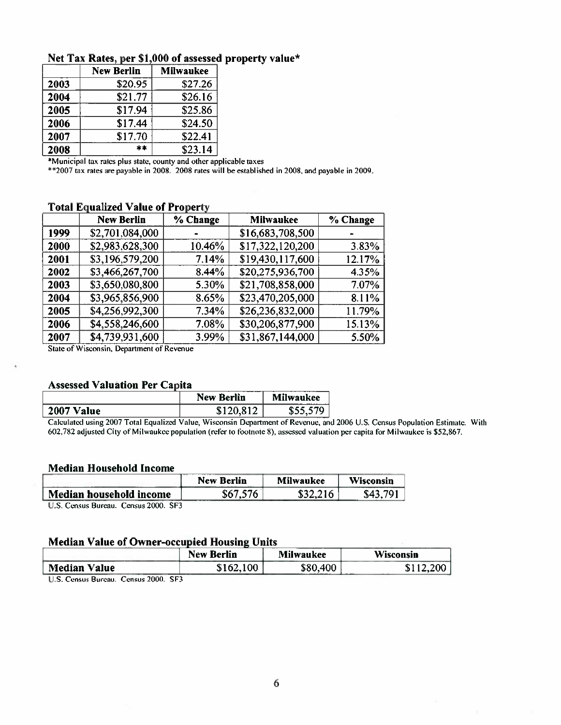|      | <b>New Berlin</b> | <b>Milwaukee</b> |
|------|-------------------|------------------|
| 2003 | \$20.95           | \$27.26          |
| 2004 | \$21.77           | \$26.16          |
| 2005 | \$17.94           | \$25.86          |
| 2006 | \$17.44           | \$24.50          |
| 2007 | \$17.70           | \$22.41          |
| 2008 | $**$              | \$23.14          |

#### Net Tax Rates, per \$1,000 of assessed property value\*

\*Municipal tax rates plus state, county and other applicable taxes

\*\* 2007 tax rates are payable in 2008. 2008 rates will be established in 2008, and payable in 2009.

| Total Equalized value of Froperty |                   |          |                  |          |
|-----------------------------------|-------------------|----------|------------------|----------|
|                                   | <b>New Berlin</b> | % Change | <b>Milwaukee</b> | % Change |
| 1999                              | \$2,701,084,000   |          | \$16,683,708,500 |          |
| 2000                              | \$2,983,628,300   | 10.46%   | \$17,322,120,200 | 3.83%    |
| 2001                              | \$3,196,579,200   | 7.14%    | \$19,430,117,600 | 12.17%   |
| 2002                              | \$3,466,267,700   | 8.44%    | \$20,275,936,700 | 4.35%    |
| 2003                              | \$3,650,080,800   | 5.30%    | \$21,708,858,000 | 7.07%    |
| 2004                              | \$3,965,856,900   | 8.65%    | \$23,470,205,000 | 8.11%    |
| 2005                              | \$4,256,992,300   | 7.34%    | \$26,236,832,000 | 11.79%   |
| 2006                              | \$4,558,246,600   | 7.08%    | \$30,206,877,900 | 15.13%   |
| 2007                              | \$4,739,931,600   | 3.99%    | \$31,867,144,000 | 5.50%    |

#### **Total Equalized Value of Property**

State of Wisconsin, Department of Revenue

#### **Assessed Valuation Per Capita**

|               | New<br><b>Berlin</b> | <b>Milwaukee</b><br>------ |
|---------------|----------------------|----------------------------|
| 2007<br>Value | ۰Л                   | 570<br>.մ.                 |

Calculated using 2007 Total Equalized Value, Wisconsin Department of Revenue, and 2006 U.S. Census Population Estimate. With 602,782 adjusted City of Milwaukee population (refer to footnote 8), assessed valuation per capita for Milwaukee is \$52,867.

#### **Median Household Income**

|                                                                                                                                                                                                                                                                                                                                                            | <b>New Berlin</b> | <b>Milwaukee</b> | Wisconsin |  |
|------------------------------------------------------------------------------------------------------------------------------------------------------------------------------------------------------------------------------------------------------------------------------------------------------------------------------------------------------------|-------------------|------------------|-----------|--|
| Median household income                                                                                                                                                                                                                                                                                                                                    | \$67.576          |                  | : 701     |  |
| $A_1, \ldots, A_{N}$<br>$\mathbf{F}$ $\mathbf{F}$ $\mathbf{F}$ $\mathbf{F}$ $\mathbf{F}$ $\mathbf{F}$ $\mathbf{F}$ $\mathbf{F}$ $\mathbf{F}$ $\mathbf{F}$ $\mathbf{F}$ $\mathbf{F}$ $\mathbf{F}$ $\mathbf{F}$ $\mathbf{F}$ $\mathbf{F}$ $\mathbf{F}$ $\mathbf{F}$ $\mathbf{F}$ $\mathbf{F}$ $\mathbf{F}$ $\mathbf{F}$ $\mathbf{F}$ $\mathbf{F}$ $\mathbf{$ |                   |                  |           |  |

U.S. Census Bureau. Census 2000. SF3

#### **Median Value of Owner-occupied Housing Units**

|                                           | <b>New Berlin</b> | <b>Milwaukee</b> | <b>Wisconsin</b> |
|-------------------------------------------|-------------------|------------------|------------------|
| <b>Median Value</b>                       | \$162,100         | \$80,400         | 12,200<br>J      |
| SF3<br>Census 2000<br>11.5. Consus Rureau |                   |                  |                  |

au Census 2000.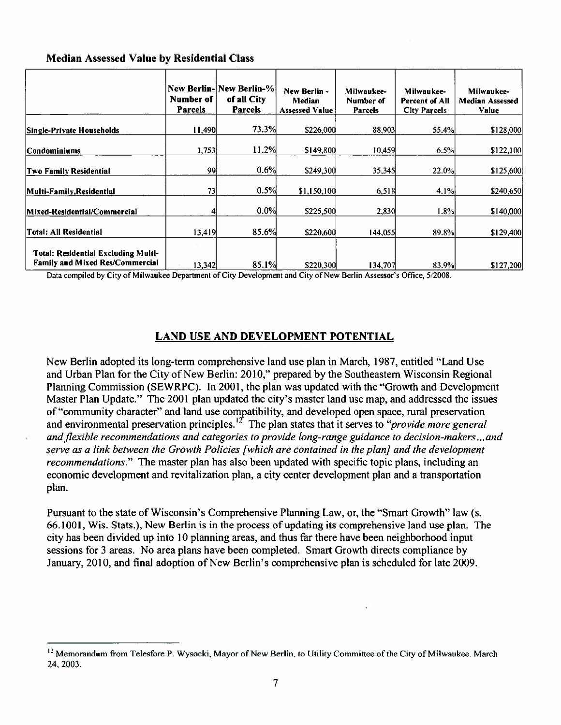#### **Median Assessed Value by Residential Class**

|                                                                               | Number of      | <b>New Berlin- New Berlin-%</b><br>of all City | New Berlin -<br>Median | Milwaukee-<br>Number of | Milwaukee-<br><b>Percent of All</b> | Milwaukee-<br><b>Median Assessed</b> |
|-------------------------------------------------------------------------------|----------------|------------------------------------------------|------------------------|-------------------------|-------------------------------------|--------------------------------------|
|                                                                               | <b>Parcels</b> | <b>Parcels</b>                                 | <b>Assessed Value</b>  | <b>Parcels</b>          | City Parcels                        | Value                                |
| Single-Private Households                                                     | 1,490          | 73.3%                                          | \$226,000              | 88,903                  | 55.4%                               | \$128,000                            |
| Condominiums                                                                  | 1,753          | 11.2%                                          | \$149,800              | 10,459                  | 6.5%                                | \$122,100                            |
| <b>Two Family Residential</b>                                                 | 99             | 0.6%                                           | \$249,300              | 35,345                  | 22.0%                               | \$125,600                            |
| Multi-Family, Residential                                                     | 731            | 0.5%                                           | \$1,150,100            | 6,518                   | 4.1%                                | \$240,650                            |
| Mixed-Residential/Commercial                                                  |                | 0.0%                                           | \$225,500              | 2,830                   | 1.8%                                | \$140,000                            |
| Total: All Residential                                                        | 13,419         | 85.6%                                          | \$220,600              | 144,055                 | 89.8%                               | \$129,400                            |
| Total: Residential Excluding Multl-<br><b>Family and Mixed Res/Commercial</b> | 13,342         | 85.1%                                          | \$220,300              | 134,707                 | 83.9%                               | \$127,200                            |

Data compiled by City of Milwaukee Department of City Development and City of New Berlin Assessor's Office, 5/2008.

#### **LAND USE AND DEVELOPMENT POTENTIAL**

New Berlin adopted its long-term comprehensive land use plan in March, 1987, entitled "Land Use and Urban Plan for the City of New Berlin: 2010," prepared by the Southeastern Wisconsin Regional Planning Commission (SEWRPC). In 2001, the plan was updated with the "Growth and Development" Master Plan Update." The 2001 plan updated the city's master land use map, and addressed the issues of "community character" and land use compatibility, and developed open space, rural preservation and environmental preservation principles.<sup>12</sup> The plan states that it serves to "*provide more general* and flexible recommendations and categories to provide long-range guidance to decision-makers...and serve as a link between the Growth Policies [which are contained in the plan] and the development *recommendations.*" The master plan has also been updated with specific topic plans, including an economic development and revitalization plan, a city center development plan and a transportation plan.

Pursuant to the state of Wisconsin's Comprehensive Planning Law, or, the "Smart Growth" law (s. 66.1001, Wis. Stats.), New Berlin is in the process of updating its comprehensive land use plan. The city has been divided up into 10 planning areas, and thus far there have been neighborhood input sessions for 3 areas. No area plans have been completed. Smart Growth directs compliance by January, 2010, and final adoption of New Berlin's comprehensive plan is scheduled for late 2009.

<sup>&</sup>lt;sup>12</sup> Memorandum from Telesfore P. Wysocki, Mayor of New Berlin, to Utility Committee of the City of Milwaukee. March 24.2003.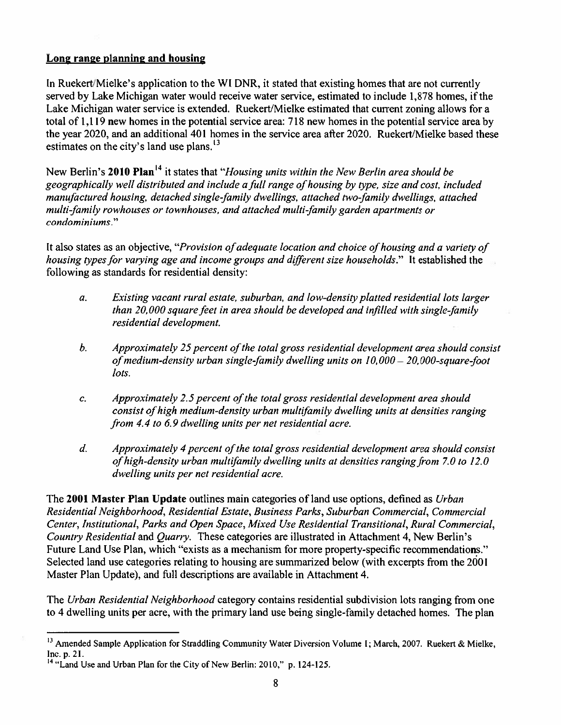#### Long range planning and housing

In Ruekert/Mielke's application to the WI DNR, it stated that existing homes that are not currently served by Lake Michigan water would receive water service, estimated to include 1,878 homes, if the Lake Michigan water service is extended. Ruekert/Mielke estimated that current zoning allows for a total of 1,119 new homes in the potential service area: 718 new homes in the potential service area by the year 2020, and an additional 401 homes in the service area after 2020. Ruekert/Mielke based these estimates on the city's land use plans.<sup>13</sup>

New Berlin's 2010 Plan<sup>14</sup> it states that "*Housing units within the New Berlin area should be* geographically well distributed and include a full range of housing by type, size and cost, included manufactured housing, detached single-family dwellings, attached two-family dwellings, attached multi-family rowhouses or townhouses, and attached multi-family garden apartments or condominiums."

It also states as an objective, "Provision of adequate location and choice of housing and a variety of housing types for varying age and income groups and different size households." It established the following as standards for residential density:

- Existing vacant rural estate, suburban, and low-density platted residential lots larger  $\overline{a}$ . than 20,000 square feet in area should be developed and infilled with single-family residential development.
- Approximately 25 percent of the total gross residential development area should consist  $b.$ of medium-density urban single-family dwelling units on  $10,000 - 20,000$ -square-foot lots.
- Approximately 2.5 percent of the total gross residential development area should C. consist of high medium-density urban multifamily dwelling units at densities ranging from 4.4 to 6.9 dwelling units per net residential acre.
- Approximately 4 percent of the total gross residential development area should consist  $d.$ of high-density urban multifamily dwelling units at densities ranging from 7.0 to 12.0 dwelling units per net residential acre.

The 2001 Master Plan Update outlines main categories of land use options, defined as Urban Residential Neighborhood, Residential Estate, Business Parks, Suburban Commercial, Commercial Center, Institutional, Parks and Open Space, Mixed Use Residential Transitional, Rural Commercial, Country Residential and Quarry. These categories are illustrated in Attachment 4, New Berlin's Future Land Use Plan, which "exists as a mechanism for more property-specific recommendations." Selected land use categories relating to housing are summarized below (with excerpts from the 2001 Master Plan Update), and full descriptions are available in Attachment 4.

The Urban Residential Neighborhood category contains residential subdivision lots ranging from one to 4 dwelling units per acre, with the primary land use being single-family detached homes. The plan

<sup>&</sup>lt;sup>13</sup> Amended Sample Application for Straddling Community Water Diversion Volume I; March, 2007. Ruekert & Mielke, Inc. p. 21.

<sup>&</sup>lt;sup>14</sup> "Land Use and Urban Plan for the City of New Berlin: 2010," p. 124-125.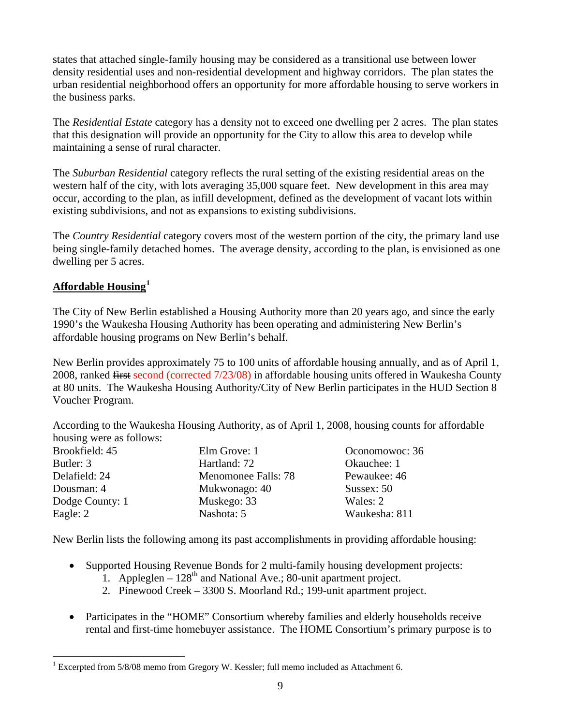states that attached single-family housing may be considered as a transitional use between lower density residential uses and non-residential development and highway corridors. The plan states the urban residential neighborhood offers an opportunity for more affordable housing to serve workers in the business parks.

The *Residential Estate* category has a density not to exceed one dwelling per 2 acres. The plan states that this designation will provide an opportunity for the City to allow this area to develop while maintaining a sense of rural character.

The *Suburban Residential* category reflects the rural setting of the existing residential areas on the western half of the city, with lots averaging 35,000 square feet. New development in this area may occur, according to the plan, as infill development, defined as the development of vacant lots within existing subdivisions, and not as expansions to existing subdivisions.

The *Country Residential* category covers most of the western portion of the city, the primary land use being single-family detached homes. The average density, according to the plan, is envisioned as one dwelling per 5 acres.

#### **Affordable Housing<sup>1</sup>**

The City of New Berlin established a Housing Authority more than 20 years ago, and since the early 1990's the Waukesha Housing Authority has been operating and administering New Berlin's affordable housing programs on New Berlin's behalf.

New Berlin provides approximately 75 to 100 units of affordable housing annually, and as of April 1, 2008, ranked first second (corrected 7/23/08) in affordable housing units offered in Waukesha County at 80 units. The Waukesha Housing Authority/City of New Berlin participates in the HUD Section 8 Voucher Program.

According to the Waukesha Housing Authority, as of April 1, 2008, housing counts for affordable housing were as follows:

| Elm Grove: 1        | Oconomowoc: 36 |
|---------------------|----------------|
| Hartland: 72        | Okauchee: 1    |
| Menomonee Falls: 78 | Pewaukee: 46   |
| Mukwonago: 40       | Sussex: $50$   |
| Muskego: 33         | Wales: 2       |
| Nashota: 5          | Waukesha: 811  |
|                     |                |

New Berlin lists the following among its past accomplishments in providing affordable housing:

- Supported Housing Revenue Bonds for 2 multi-family housing development projects:
	- 1. Appleglen  $128<sup>th</sup>$  and National Ave.; 80-unit apartment project.
	- 2. Pinewood Creek 3300 S. Moorland Rd.; 199-unit apartment project.
- Participates in the "HOME" Consortium whereby families and elderly households receive rental and first-time homebuyer assistance. The HOME Consortium's primary purpose is to

 $\overline{a}$ <sup>1</sup> Excerpted from 5/8/08 memo from Gregory W. Kessler; full memo included as Attachment 6.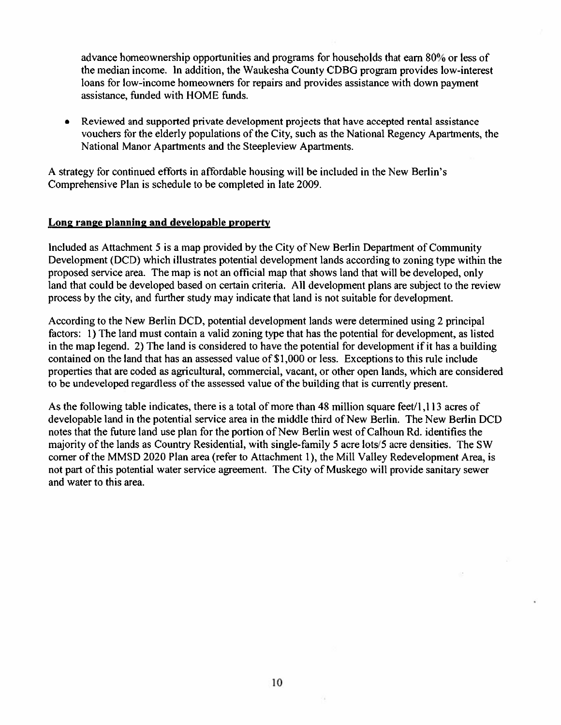advance homeownership opportunities and programs for households that earn 80% or less of the median income. In addition, the Waukesha County CDBG program provides low-interest loans for low-income homeowners for repairs and provides assistance with down payment assistance, funded with HOME funds.

Reviewed and supported private development projects that have accepted rental assistance  $\bullet$ vouchers for the elderly populations of the City, such as the National Regency Apartments, the National Manor Apartments and the Steepleview Apartments.

A strategy for continued efforts in affordable housing will be included in the New Berlin's Comprehensive Plan is schedule to be completed in late 2009.

#### Long range planning and developable property

Included as Attachment 5 is a map provided by the City of New Berlin Department of Community Development (DCD) which illustrates potential development lands according to zoning type within the proposed service area. The map is not an official map that shows land that will be developed, only land that could be developed based on certain criteria. All development plans are subject to the review process by the city, and further study may indicate that land is not suitable for development.

According to the New Berlin DCD, potential development lands were determined using 2 principal factors: 1) The land must contain a valid zoning type that has the potential for development, as listed in the map legend. 2) The land is considered to have the potential for development if it has a building contained on the land that has an assessed value of \$1,000 or less. Exceptions to this rule include properties that are coded as agricultural, commercial, vacant, or other open lands, which are considered to be undeveloped regardless of the assessed value of the building that is currently present.

As the following table indicates, there is a total of more than 48 million square feet/1,113 acres of developable land in the potential service area in the middle third of New Berlin. The New Berlin DCD notes that the future land use plan for the portion of New Berlin west of Calhoun Rd. identifies the majority of the lands as Country Residential, with single-family 5 acre lots/5 acre densities. The SW corner of the MMSD 2020 Plan area (refer to Attachment 1), the Mill Valley Redevelopment Area, is not part of this potential water service agreement. The City of Muskego will provide sanitary sewer and water to this area.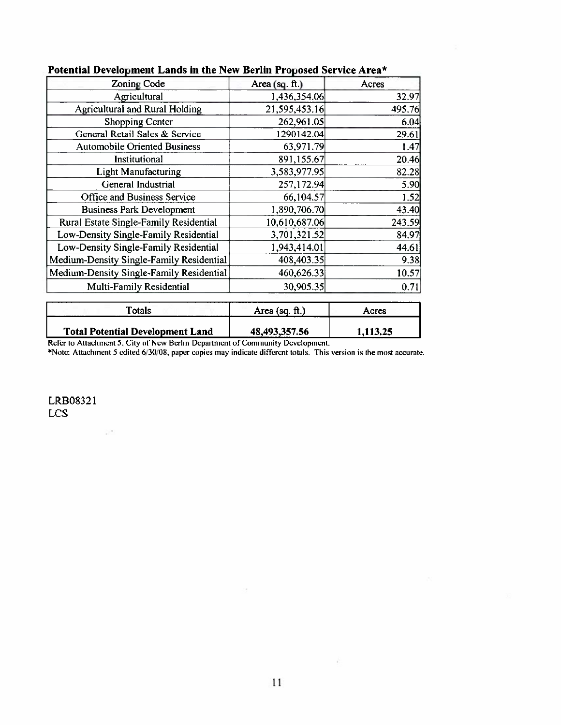| <b>Zoning Code</b>                       | Area (sq. $ft$ .) | Acres  |
|------------------------------------------|-------------------|--------|
| Agricultural                             | 1,436,354.06      | 32.97  |
| <b>Agricultural and Rural Holding</b>    | 21,595,453.16     | 495.76 |
| Shopping Center                          | 262,961.05        | 6.04   |
| General Retail Sales & Service           | 1290142.04        | 29.61  |
| <b>Automobile Oriented Business</b>      | 63,971.79         | 1.47   |
| Institutional                            | 891,155.67        | 20.46  |
| <b>Light Manufacturing</b>               | 3,583,977.95      | 82.28  |
| General Industrial                       | 257,172.94        | 5.90   |
| Office and Business Service              | 66,104.57         | 1.52   |
| <b>Business Park Development</b>         | 1,890,706.70      | 43.40  |
| Rural Estate Single-Family Residential   | 10,610,687.06     | 243.59 |
| Low-Density Single-Family Residential    | 3,701,321.52      | 84.97  |
| Low-Density Single-Family Residential    | 1,943,414.01      | 44.61  |
| Medium-Density Single-Family Residential | 408,403.35        | 9.38   |
| Medium-Density Single-Family Residential | 460,626.33        | 10.57  |
| Multi-Family Residential                 | 30,905.35         | 0.71   |

#### Potential Development Lands in the New Berlin Proposed Service Area\*

**Totals** Area (sq. ft.) Acres **Total Potential Development Land** 48,493,357.56 1,113.25

Refer to Attachment 5, City of New Berlin Department of Community Development.<br>\*Note: Attachment 5 edited 6/30/08, paper copies may indicate different totals. This version is the most accurate.

LRB08321 **LCS** 

 $\mathcal{L}^{(1)}$ 

÷.

 $\sim$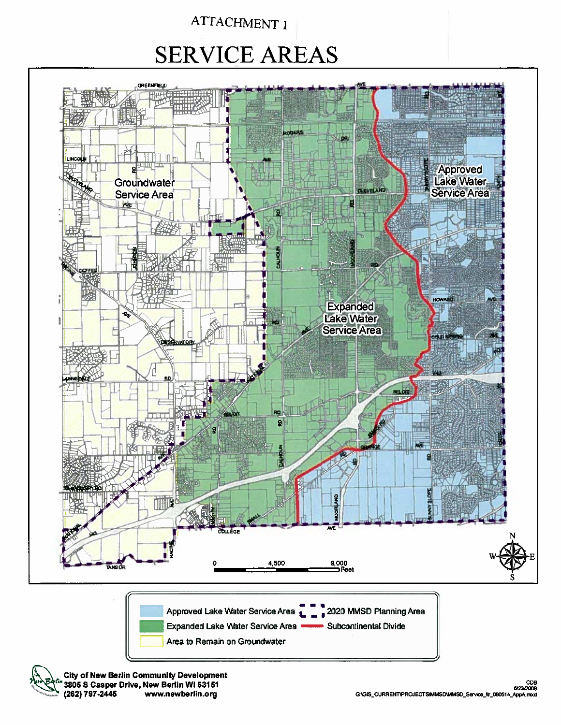# **SERVICE AREAS**

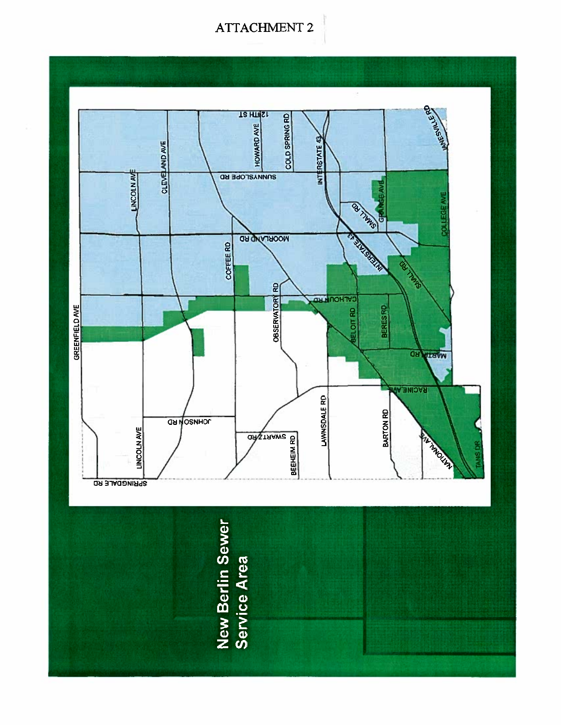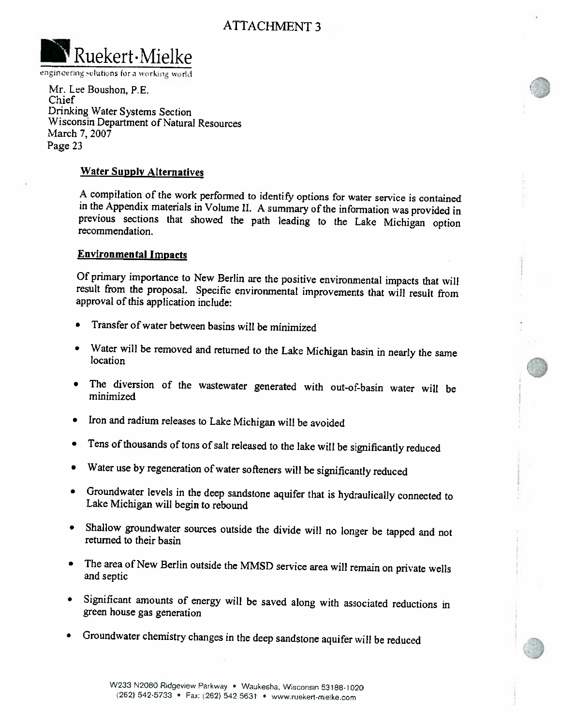

engineering solutions for a working world

Mr. Lee Boushon, P.E. Chief Drinking Water Systems Section Wisconsin Department of Natural Resources March 7, 2007 Page 23

#### **Water Supply Alternatives**

A compilation of the work performed to identify options for water service is contained in the Appendix materials in Volume II. A summary of the information was provided in previous sections that showed the path leading to the Lake Michigan option recommendation.

#### **Environmental Impacts**

Of primary importance to New Berlin are the positive environmental impacts that will result from the proposal. Specific environmental improvements that will result from approval of this application include:

- Transfer of water between basins will be minimized
- Water will be removed and returned to the Lake Michigan basin in nearly the same location
- The diversion of the wastewater generated with out-of-basin water will be  $\bullet$ minimized
- Iron and radium releases to Lake Michigan will be avoided
- Tens of thousands of tons of salt released to the lake will be significantly reduced
- Water use by regeneration of water softeners will be significantly reduced  $\bullet$
- Groundwater levels in the deep sandstone aquifer that is hydraulically connected to Lake Michigan will begin to rebound
- Shallow groundwater sources outside the divide will no longer be tapped and not returned to their basin
- The area of New Berlin outside the MMSD service area will remain on private wells and septic
- · Significant amounts of energy will be saved along with associated reductions in green house gas generation
- Groundwater chemistry changes in the deep sandstone aquifer will be reduced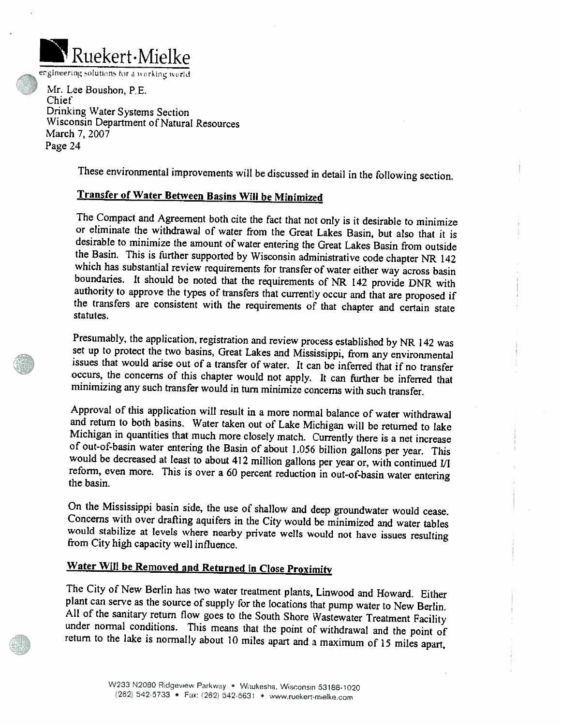

engineering solutions for a working world

Mr. Lee Boushon, P.E. Chief Drinking Water Systems Section Wisconsin Department of Natural Resources March 7, 2007 Page 24

These environmental improvements will be discussed in detail in the following section.

#### **Transfer of Water Between Basins Will be Minimized**

The Compact and Agreement both cite the fact that not only is it desirable to minimize or eliminate the withdrawal of water from the Great Lakes Basin, but also that it is desirable to minimize the amount of water entering the Great Lakes Basin from outside the Basin. This is further supported by Wisconsin administrative code chapter NR 142 which has substantial review requirements for transfer of water either way across basin boundaries. It should be noted that the requirements of NR 142 provide DNR with authority to approve the types of transfers that currently occur and that are proposed if the transfers are consistent with the requirements of that chapter and certain state statutes.

Presumably, the application, registration and review process established by NR 142 was set up to protect the two basins, Great Lakes and Mississippi, from any environmental issues that would arise out of a transfer of water. It can be inferred that if no transfer occurs, the concerns of this chapter would not apply. It can further be inferred that minimizing any such transfer would in turn minimize concerns with such transfer.

Approval of this application will result in a more normal balance of water withdrawal and return to both basins. Water taken out of Lake Michigan will be returned to lake Michigan in quantities that much more closely match. Currently there is a net increase of out-of-basin water entering the Basin of about 1.056 billion gallons per year. This would be decreased at least to about 412 million gallons per year or, with continued I/I reform, even more. This is over a 60 percent reduction in out-of-basin water entering the basin.

On the Mississippi basin side, the use of shallow and deep groundwater would cease. Concerns with over drafting aquifers in the City would be minimized and water tables would stabilize at levels where nearby private wells would not have issues resulting from City high capacity well influence.

### Water Will be Removed and Returned in Close Proximity

The City of New Berlin has two water treatment plants, Linwood and Howard. Either plant can serve as the source of supply for the locations that pump water to New Berlin. All of the sanitary return flow goes to the South Shore Wastewater Treatment Facility under normal conditions. This means that the point of withdrawal and the point of return to the lake is normally about 10 miles apart and a maximum of 15 miles apart,

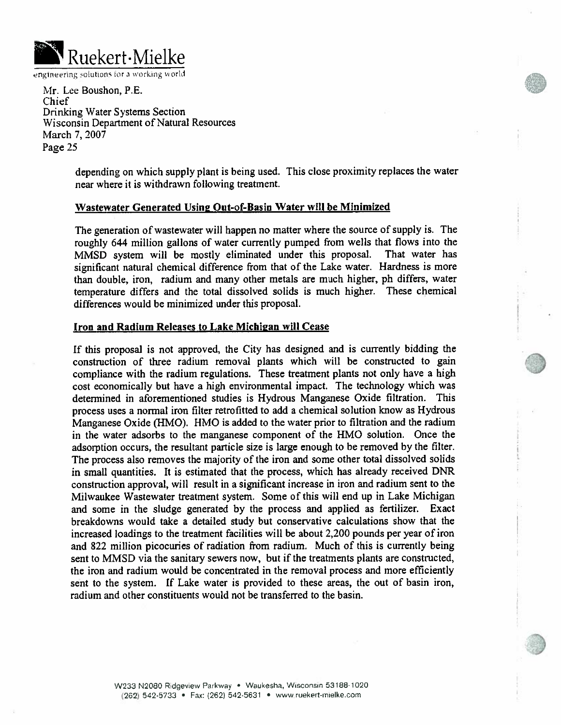

Mr. Lee Boushon, P.E. Chief Drinking Water Systems Section Wisconsin Department of Natural Resources March 7, 2007 Page 25

> depending on which supply plant is being used. This close proximity replaces the water near where it is withdrawn following treatment.

#### Wastewater Generated Using Out-of-Basin Water will be Minimized

The generation of wastewater will happen no matter where the source of supply is. The roughly 644 million gallons of water currently pumped from wells that flows into the MMSD system will be mostly eliminated under this proposal. That water has significant natural chemical difference from that of the Lake water. Hardness is more than double, iron, radium and many other metals are much higher, ph differs, water temperature differs and the total dissolved solids is much higher. These chemical differences would be minimized under this proposal.

#### Iron and Radium Releases to Lake Michigan will Cease

If this proposal is not approved, the City has designed and is currently bidding the construction of three radium removal plants which will be constructed to gain compliance with the radium regulations. These treatment plants not only have a high cost economically but have a high environmental impact. The technology which was determined in aforementioned studies is Hydrous Manganese Oxide filtration. This process uses a normal iron filter retrofitted to add a chemical solution know as Hydrous Manganese Oxide (HMO). HMO is added to the water prior to filtration and the radium in the water adsorbs to the manganese component of the HMO solution. Once the adsorption occurs, the resultant particle size is large enough to be removed by the filter. The process also removes the majority of the iron and some other total dissolved solids in small quantities. It is estimated that the process, which has already received DNR construction approval, will result in a significant increase in iron and radium sent to the Milwaukee Wastewater treatment system. Some of this will end up in Lake Michigan and some in the sludge generated by the process and applied as fertilizer. Exact breakdowns would take a detailed study but conservative calculations show that the increased loadings to the treatment facilities will be about 2,200 pounds per year of iron and 822 million picocuries of radiation from radium. Much of this is currently being sent to MMSD via the sanitary sewers now, but if the treatments plants are constructed, the iron and radium would be concentrated in the removal process and more efficiently sent to the system. If Lake water is provided to these areas, the out of basin iron, radium and other constituents would not be transferred to the basin.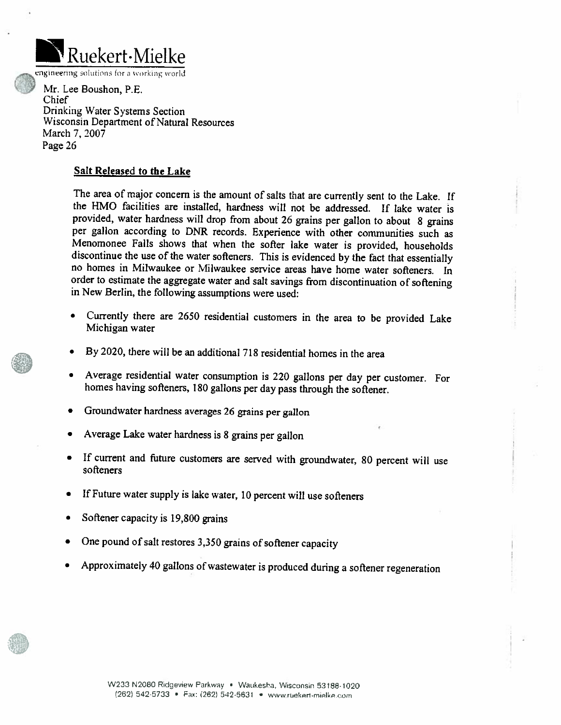

engineering solutions for a working world

Mr. Lee Boushon, P.E. Chief Drinking Water Systems Section Wisconsin Department of Natural Resources March 7, 2007 Page 26

#### Salt Released to the Lake

The area of major concern is the amount of salts that are currently sent to the Lake. If the HMO facilities are installed, hardness will not be addressed. If lake water is provided, water hardness will drop from about 26 grains per gallon to about 8 grains per gallon according to DNR records. Experience with other communities such as Menomonee Falls shows that when the softer lake water is provided, households discontinue the use of the water softeners. This is evidenced by the fact that essentially no homes in Milwaukee or Milwaukee service areas have home water softeners. In order to estimate the aggregate water and salt savings from discontinuation of softening in New Berlin, the following assumptions were used:

- Currently there are 2650 residential customers in the area to be provided Lake Michigan water
- By 2020, there will be an additional 718 residential homes in the area  $\bullet$
- Average residential water consumption is 220 gallons per day per customer. For  $\bullet$ homes having softeners, 180 gallons per day pass through the softener.
- Groundwater hardness averages 26 grains per gallon
- Average Lake water hardness is 8 grains per gallon
- If current and future customers are served with groundwater, 80 percent will use softeners
- If Future water supply is lake water, 10 percent will use softeners
- Softener capacity is 19,800 grains
- One pound of salt restores 3,350 grains of softener capacity
- Approximately 40 gallons of wastewater is produced during a softener regeneration



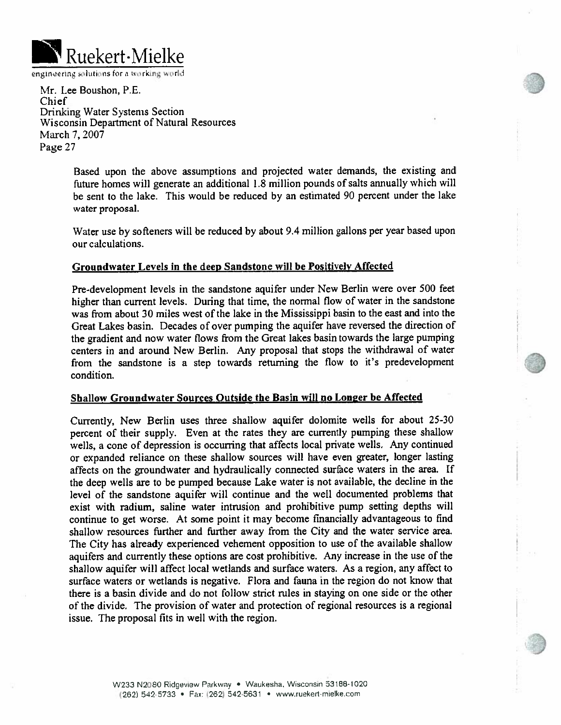

Mr. Lee Boushon, P.E. Chief Drinking Water Systems Section Wisconsin Department of Natural Resources March 7, 2007 Page 27

> Based upon the above assumptions and projected water demands, the existing and future homes will generate an additional 1.8 million pounds of salts annually which will be sent to the lake. This would be reduced by an estimated 90 percent under the lake water proposal.

> Water use by softeners will be reduced by about 9.4 million gallons per year based upon our calculations.

#### Groundwater Levels in the deep Sandstone will be Positively Affected

Pre-development levels in the sandstone aquifer under New Berlin were over 500 feet higher than current levels. During that time, the normal flow of water in the sandstone was from about 30 miles west of the lake in the Mississippi basin to the east and into the Great Lakes basin. Decades of over pumping the aquifer have reversed the direction of the gradient and now water flows from the Great lakes basin towards the large pumping centers in and around New Berlin. Any proposal that stops the withdrawal of water from the sandstone is a step towards returning the flow to it's predevelopment condition.

#### Shallow Groundwater Sources Outside the Basin will no Longer be Affected

Currently, New Berlin uses three shallow aquifer dolomite wells for about 25-30 percent of their supply. Even at the rates they are currently pumping these shallow wells, a cone of depression is occurring that affects local private wells. Any continued or expanded reliance on these shallow sources will have even greater, longer lasting affects on the groundwater and hydraulically connected surface waters in the area. If the deep wells are to be pumped because Lake water is not available, the decline in the level of the sandstone aquifer will continue and the well documented problems that exist with radium, saline water intrusion and prohibitive pump setting depths will continue to get worse. At some point it may become financially advantageous to find shallow resources further and further away from the City and the water service area. The City has already experienced vehement opposition to use of the available shallow aquifers and currently these options are cost prohibitive. Any increase in the use of the shallow aquifer will affect local wetlands and surface waters. As a region, any affect to surface waters or wetlands is negative. Flora and fauna in the region do not know that there is a basin divide and do not follow strict rules in staying on one side or the other of the divide. The provision of water and protection of regional resources is a regional issue. The proposal fits in well with the region.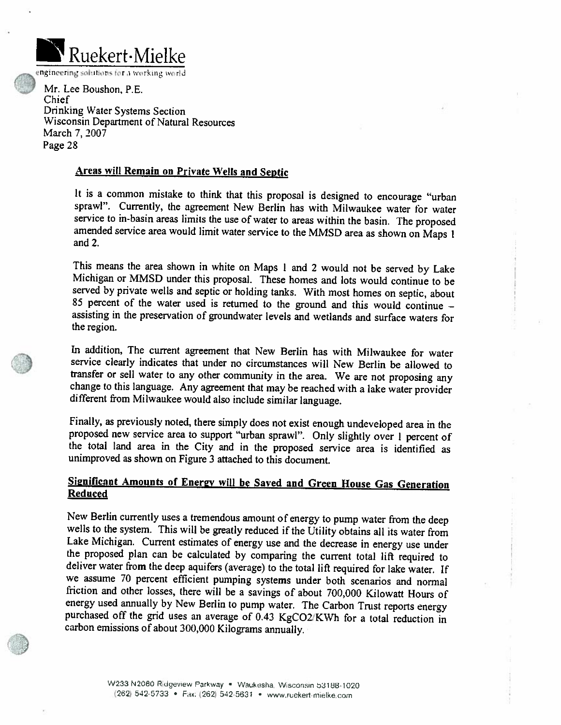

engineering solutions for a working world

Mr. Lee Boushon, P.E. Chief Drinking Water Systems Section Wisconsin Department of Natural Resources March 7, 2007 Page 28

#### Areas will Remain on Private Wells and Septic

It is a common mistake to think that this proposal is designed to encourage "urban sprawl". Currently, the agreement New Berlin has with Milwaukee water for water service to in-basin areas limits the use of water to areas within the basin. The proposed amended service area would limit water service to the MMSD area as shown on Maps 1 and  $2$ .

This means the area shown in white on Maps 1 and 2 would not be served by Lake Michigan or MMSD under this proposal. These homes and lots would continue to be served by private wells and septic or holding tanks. With most homes on septic, about 85 percent of the water used is returned to the ground and this would continue assisting in the preservation of groundwater levels and wetlands and surface waters for the region.

In addition, The current agreement that New Berlin has with Milwaukee for water service clearly indicates that under no circumstances will New Berlin be allowed to transfer or sell water to any other community in the area. We are not proposing any change to this language. Any agreement that may be reached with a lake water provider different from Milwaukee would also include similar language.

Finally, as previously noted, there simply does not exist enough undeveloped area in the proposed new service area to support "urban sprawl". Only slightly over 1 percent of the total land area in the City and in the proposed service area is identified as unimproved as shown on Figure 3 attached to this document.

#### Significant Amounts of Energy will be Saved and Green House Gas Generation **Reduced**

New Berlin currently uses a tremendous amount of energy to pump water from the deep wells to the system. This will be greatly reduced if the Utility obtains all its water from Lake Michigan. Current estimates of energy use and the decrease in energy use under the proposed plan can be calculated by comparing the current total lift required to deliver water from the deep aquifers (average) to the total lift required for lake water. If we assume 70 percent efficient pumping systems under both scenarios and normal friction and other losses, there will be a savings of about 700,000 Kilowatt Hours of energy used annually by New Berlin to pump water. The Carbon Trust reports energy purchased off the grid uses an average of 0.43 KgCO2/KWh for a total reduction in carbon emissions of about 300,000 Kilograms annually.



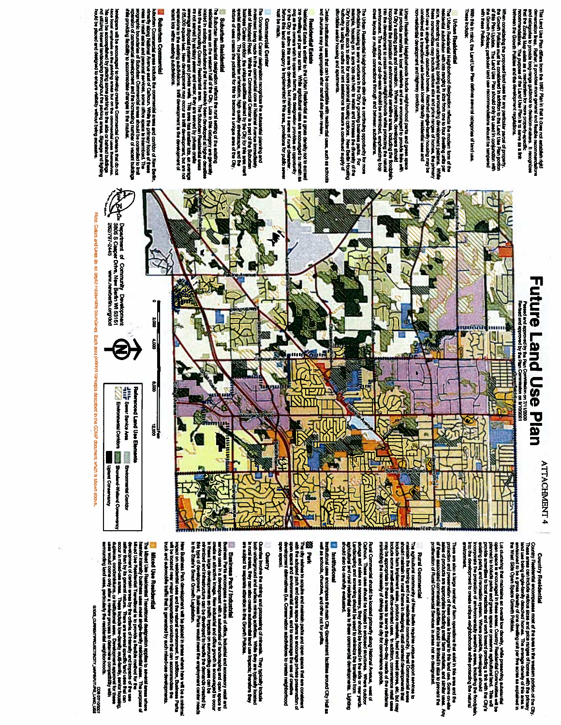ميط وول ليصف ففا mmendations. The purpose of the La<br>rean the Growth Policies and the devr calegories to provide tong-nange guidant<br>the Zoning Map exists as a mechanism 1 67 Plan in that it does not establish rigid<br>more get to the does not memorialism<br>more get of dealing and funding it recognizes<br>mism for more proposity-specific<br>- Land Use Plan is to serve as a link

When considering the proposed land user for any particular parcel of property.<br>The Growth Policies mast be considered in addition to the Land Use Pattern orthon of the Constantion with<br>The Growth Policies. The Land Use Pie

**Thase Include:** Alth this in mind, the Land Use Plan defines several categories of land use.

# **Urban Residential**

The Urban Realderstal Heighbruncool dealgrastion reflects the modern form of the relative of the construction of the<br>The Secretary of the Construction School and Market and the Construction Secretary School and the primary ind use is aingle-family detached homes. Attached construction<br>considered as a transitional use between lower densi<br>convestiential development and highway contidor.

Urban Readential Neighborhoods include neighborhood parts and green spraces in the stress of the stress free o<br>The City's designing these total meetidon, White poeticides areas, including the filtration of the stress of t

The Urban Fassidential Heighborhoods also offer a contribuing opportunity for more<br>maintain, housing on 14 acres total control also offer a continuous portunity of moving of the state of the sa<br>City is housing as the albu

bain institutionel wase that can be compatible with realderstal uses, such as achoots<br>Ishurchea may be appropriate after cannini alle plan review.

**Particle and is Estate** to the Urban Peakdrate at a group dealer not to exceed the community of the second the second term in the two active to the Urban second term in the two active. We also the second term in the secon **Rommed** 

# **Commercial Center**

The Commental Cantar designation moograps is exposential planning and the companies of the comment of antistic<br>Services of Moontard Freed. Yrithe free Commencial Centrer is a part of the Suburban<br>Statistical Centrer Confo

**18 Coloration: Readderfield**<br>The State from Readderfield delightery reflects the trust and acting of the acetator.<br>The fields reading activistical from the side of the field of the conditions of the manner of the state o

**25 Suburben Commercial**<br>Noutre Commercial avera include the commercial areas and comforce of New Bests.<br>Trinity, abong National Avenue asad of Calboun. While the primary focus of these<br>Trinity, abong National Avenue asad

Jewiagone will be encounaged to develop creative Commercial Centers frames and do not<br>Anot local emphasis on the patiding areas but on the commercial Leaves tempelves.<br>The stiffing internal innisectivity froughout the part



# **Country Residential**

ATTACHMENT 4

County Readointal enconpeases most of the area in the western portion of the Chy<br>These areas can include validua stars and price maybe of lonnes with the primar<br>These areas can include validua stars and price maybe of lonn

Lot clustering that maintains an overall but density, while presenting automatical political controller and be<br>primed to inclusion to boat mediants and work toward providing a link with the OP/19<br>provide annealises to boa

There are also also parametrical of siem copies about the city chief in this are Some Ore Sin<br>West of products are appropriate including small tarm marked and anticolate the state of the state of the stat<br>ables of products

**BELIEVING** 

Rural Commercial (Incorporation of the construction) and the second matrix in the second matrix is the second matrix in the second matrix in the second matrix is a second matrix in the second matrix is a second matrix in

Paral Commencial should be located primarly sizery biomic host of the second Avenua, went of the composite and the control of the control of the control of the control of the control of the control of the control of the c

# **El metturbonal**

institutional uses encompass the main Chy Government (acities around Chy Hall<br>well as achools, churches, and other not for profits.

2022 : Parist,<br>with the additional partial and maintain parts and open apach that are consistent with the additional composit<br>with the additional park and opens apace plent to encourage the use of creative<br>with the additio

## Quanty

Cuanties involve the mining and processing of minestes. They hydrosiy include<br>In cursi unter they can also consists authorization level use inspectively consist<br>In cursi unter they can also consists authorization level use

図

and Business Park / Indiustrial and anticological experience and and anticological and resolution and archives<br>The contract of the contract of the state of the contract of the contract of the contract of the contract of t<br>

New Business Park development will be placed in artest where here will be a minimal will be a minimal will be a<br>with a located new meast standardistics contains that can accommodate the control of the located parks.<br>with a

# Mixed Use Residential

The Michael Lives (mestionizin Transitional cheappair) and principal construction to enversal amena where it has proposed of the proposed of the proposed of the proposed of the proposed of the proposed of the content of c uses would come only after a review process.<br>Nincunding land uses, particularly the reside

Basic Chase **1281 ONAT THATLING ANT ALCOS LESS**<br>1202201201020

Note: Colors and Lines do not deplot moasurable boundance. Each area podrays concepts described in the GDMP document, which is shown above.

Upland Conservancy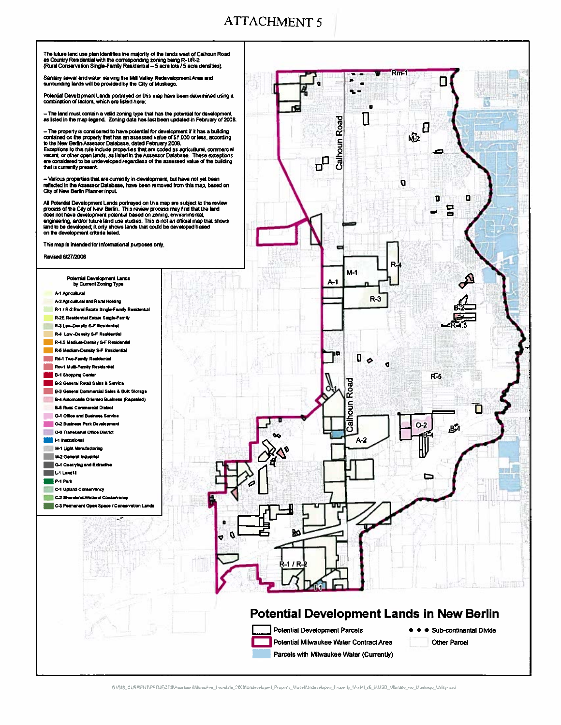

GYSIS CURRENTIPROJECTSWssessoriMMwaukee Leuislate 2008/Undeveloped Property Moselfdindeveloped Property Model v6 MMSD Ultimate wo Muskeuo Utilitymid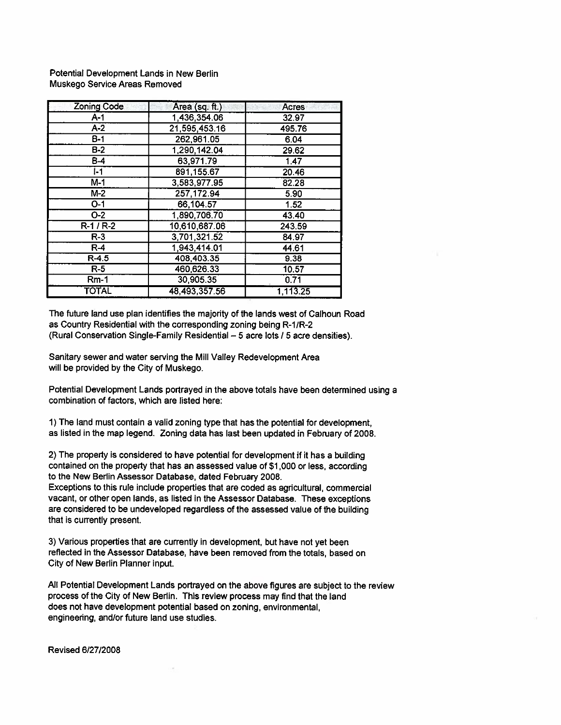Potential Development Lands in New Berlin Muskego Service Areas Removed

| <b>Zoning Code</b> | Area (sq. ft.) | Acres    |
|--------------------|----------------|----------|
| $A-1$              | 1,436,354.06   | 32.97    |
| $A-2$              | 21,595,453.16  | 495.76   |
| $B-1$              | 262,961.05     | 6.04     |
| $\overline{B-2}$   | 1,290,142.04   | 29.62    |
| $B-4$              | 63,971.79      | 1.47     |
| $I - 1$            | 891,155.67     | 20.46    |
| $M-1$              | 3,583,977.95   | 82.28    |
| $M-2$              | 257, 172.94    | 5.90     |
| $\overline{O-1}$   | 66,104.57      | 1.52     |
| $O-2$              | 1,890,706.70   | 43.40    |
| $R-1/R-2$          | 10,610,687.06  | 243.59   |
| $R-3$              | 3,701,321.52   | 84.97    |
| $R-4$              | 1,943,414.01   | 44.61    |
| $R-4.5$            | 408,403.35     | 9.38     |
| $R-5$              | 460,626.33     | 10.57    |
| $Rm-1$             | 30,905.35      | 0.71     |
| TOTAL              | 48,493,357.56  | 1,113.25 |

The future land use plan identifies the majority of the lands west of Calhoun Road as Country Residential with the corresponding zoning being R-1/R-2 (Rural Conservation Single-Family Residential - 5 acre lots / 5 acre densities).

Sanitary sewer and water serving the Mill Valley Redevelopment Area will be provided by the City of Muskego.

Potential Development Lands portrayed in the above totals have been determined using a combination of factors, which are listed here:

1) The land must contain a valid zoning type that has the potential for development, as listed in the map legend. Zoning data has last been updated in February of 2008.

2) The property is considered to have potential for development if it has a building contained on the property that has an assessed value of \$1,000 or less, according to the New Berlin Assessor Database, dated February 2008.

Exceptions to this rule include properties that are coded as agricultural, commercial vacant, or other open lands, as listed in the Assessor Database. These exceptions are considered to be undeveloped regardless of the assessed value of the building that is currently present.

3) Various properties that are currently in development, but have not yet been reflected in the Assessor Database, have been removed from the totals, based on City of New Berlin Planner input.

All Potential Development Lands portrayed on the above figures are subject to the review process of the City of New Berlin. This review process may find that the land does not have development potential based on zoning, environmental, engineering, and/or future land use studies.

Revised 6/27/2008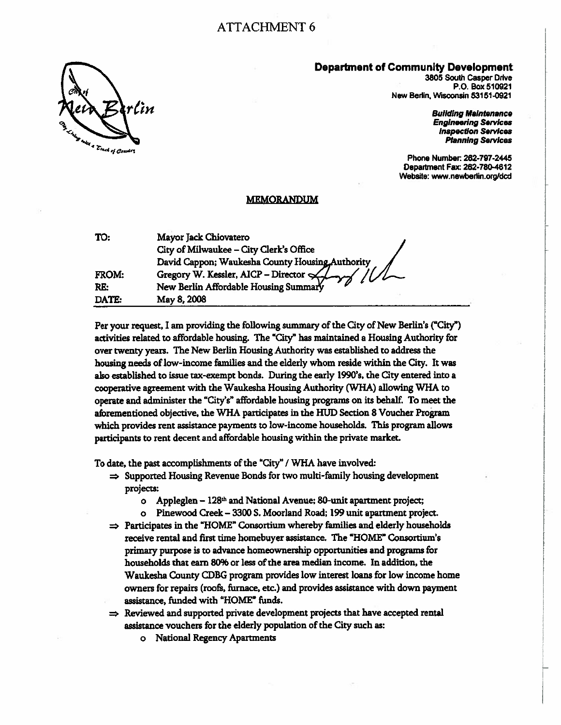

3805 South Casper Drive P.O. Box 510921 New Berlin, Wisconsin 53151-0921

> **Building Maintenance Engineering Services Inspection Services Planning Services**

Phone Number: 262-797-2445 Department Fax: 262-780-4612 Website: www.newberlin.org/dcd

#### **MEMORANDUM**

| TO:   | Mayor Jack Chiovatero                            |
|-------|--------------------------------------------------|
|       | City of Milwaukee - City Clerk's Office          |
|       | David Cappon; Waukesha County Housing, Authority |
| FROM: | Gregory W. Kessler, AICP - Director $\leftarrow$ |
| RE:   | New Berlin Affordable Housing Summary            |
| DATE: | May 8, 2008                                      |

Per your request, I am providing the following summary of the City of New Berlin's ("City") activities related to affordable housing. The "City" has maintained a Housing Authority for over twenty years. The New Berlin Housing Authority was established to address the housing needs of low-income families and the elderly whom reside within the City. It was also established to issue tax-exempt bonds. During the early 1990's, the City entered into a cooperative agreement with the Waukesha Housing Authority (WHA) allowing WHA to operate and administer the "City's" affordable housing programs on its behalf. To meet the aforementioned objective, the WHA participates in the HUD Section 8 Voucher Program which provides rent assistance payments to low-income households. This program allows participants to rent decent and affordable housing within the private market.

To date, the past accomplishments of the "City" / WHA have involved:

- $\Rightarrow$  Supported Housing Revenue Bonds for two multi-family housing development projects:
	- Appleglen 128<sup>th</sup> and National Avenue; 80-unit apartment project;  $\bullet$
	- Pinewood Creek 3300 S. Moorland Road; 199 unit apartment project.  $\mathbf{o}$
- $\Rightarrow$  Participates in the "HOME" Consortium whereby families and elderly households receive rental and first time homebuyer assistance. The "HOME" Consortium's primary purpose is to advance homeownership opportunities and programs for households that earn 80% or less of the area median income. In addition, the Waukesha County CDBG program provides low interest loans for low income home owners for repairs (roofs, furnace, etc.) and provides assistance with down payment assistance, funded with "HOME" funds.
- $\Rightarrow$  Reviewed and supported private development projects that have accepted rental assistance vouchers for the elderly population of the City such as:
	- o National Regency Apartments